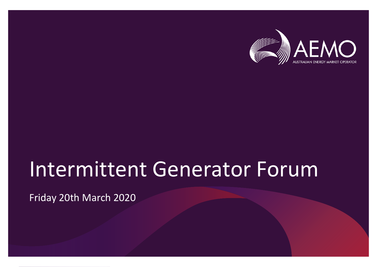

# Intermittent Generator Forum

Friday 20th March 2020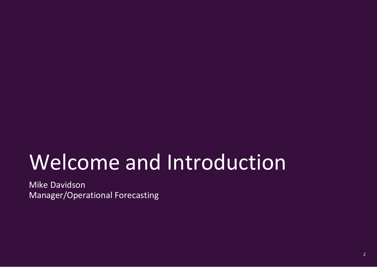# Welcome and Introduction

Mike Davidson Manager/Operational Forecasting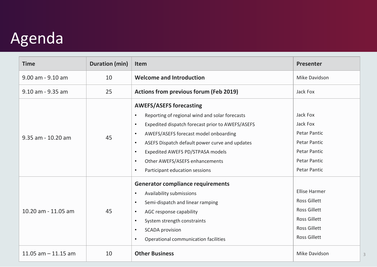# **Agenda**

| <b>Time</b>           | <b>Duration (min)</b> | Item                                                                                                                                                                                                                                                                                                                                                                                                                               | <b>Presenter</b>                                                                                                                        |
|-----------------------|-----------------------|------------------------------------------------------------------------------------------------------------------------------------------------------------------------------------------------------------------------------------------------------------------------------------------------------------------------------------------------------------------------------------------------------------------------------------|-----------------------------------------------------------------------------------------------------------------------------------------|
| 9.00 am - 9.10 am     | 10                    | <b>Welcome and Introduction</b>                                                                                                                                                                                                                                                                                                                                                                                                    | Mike Davidson                                                                                                                           |
| 9.10 am - 9.35 am     | 25                    | <b>Actions from previous forum (Feb 2019)</b>                                                                                                                                                                                                                                                                                                                                                                                      | Jack Fox                                                                                                                                |
| 9.35 am - 10.20 am    | 45                    | <b>AWEFS/ASEFS forecasting</b><br>Reporting of regional wind and solar forecasts<br>$\bullet$<br>Expedited dispatch forecast prior to AWEFS/ASEFS<br>$\bullet$<br>AWEFS/ASEFS forecast model onboarding<br>$\bullet$<br>ASEFS Dispatch default power curve and updates<br>$\bullet$<br>Expedited AWEFS PD/STPASA models<br>$\bullet$<br>Other AWEFS/ASEFS enhancements<br>$\bullet$<br>Participant education sessions<br>$\bullet$ | Jack Fox<br>Jack Fox<br><b>Petar Pantic</b><br><b>Petar Pantic</b><br>Petar Pantic<br><b>Petar Pantic</b><br><b>Petar Pantic</b>        |
| 10.20 am - 11.05 am   | 45                    | <b>Generator compliance requirements</b><br>Availability submissions<br>$\bullet$<br>Semi-dispatch and linear ramping<br>$\bullet$<br>AGC response capability<br>$\bullet$<br>System strength constraints<br>$\bullet$<br><b>SCADA</b> provision<br>$\bullet$<br>Operational communication facilities<br>$\bullet$                                                                                                                 | <b>Ellise Harmer</b><br><b>Ross Gillett</b><br><b>Ross Gillett</b><br><b>Ross Gillett</b><br><b>Ross Gillett</b><br><b>Ross Gillett</b> |
| 11.05 $am - 11.15$ am | 10                    | <b>Other Business</b>                                                                                                                                                                                                                                                                                                                                                                                                              | Mike Davidson                                                                                                                           |

3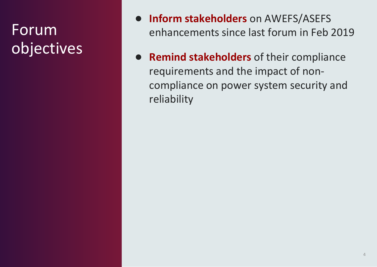### Forum objectives

- **Inform stakeholders** on AWEFS/ASEFS enhancements since last forum in Feb 2019
- **Remind stakeholders** of their compliance requirements and the impact of noncompliance on power system security and reliability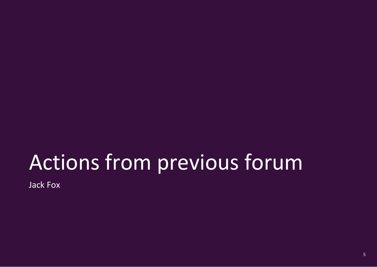# Actions from previous forum

Jack Fox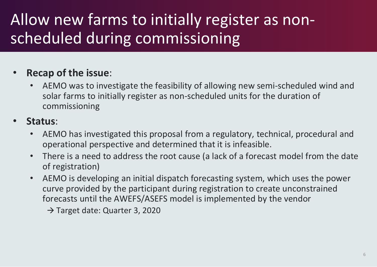# Allow new farms to initially register as nonscheduled during commissioning

#### • **Recap of the issue**:

- AEMO was to investigate the feasibility of allowing new semi-scheduled wind and solar farms to initially register as non-scheduled units for the duration of commissioning
- **Status**:
	- AEMO has investigated this proposal from a regulatory, technical, procedural and operational perspective and determined that it is infeasible.
	- There is a need to address the root cause (a lack of a forecast model from the date of registration)
	- AEMO is developing an initial dispatch forecasting system, which uses the power curve provided by the participant during registration to create unconstrained forecasts until the AWEFS/ASEFS model is implemented by the vendor

→ Target date: Quarter 3, 2020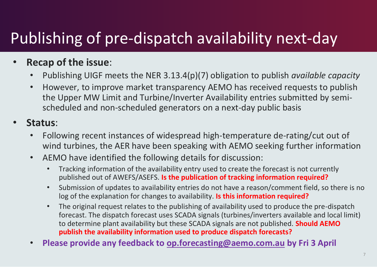# Publishing of pre-dispatch availability next-day

#### • **Recap of the issue**:

- Publishing UIGF meets the NER 3.13.4(p)(7) obligation to publish *available capacity*
- However, to improve market transparency AEMO has received requests to publish the Upper MW Limit and Turbine/Inverter Availability entries submitted by semischeduled and non-scheduled generators on a next-day public basis

#### • **Status**:

- Following recent instances of widespread high-temperature de-rating/cut out of wind turbines, the AER have been speaking with AEMO seeking further information
- AEMO have identified the following details for discussion:
	- Tracking information of the availability entry used to create the forecast is not currently published out of AWEFS/ASEFS. **Is the publication of tracking information required?**
	- Submission of updates to availability entries do not have a reason/comment field, so there is no log of the explanation for changes to availability. **Is this information required?**
	- The original request relates to the publishing of availability used to produce the pre-dispatch forecast. The dispatch forecast uses SCADA signals (turbines/inverters available and local limit) to determine plant availability but these SCADA signals are not published. **Should AEMO publish the availability information used to produce dispatch forecasts?**
- **Please provide any feedback to [op.forecasting@aemo.com.au](mailto:op.forecasting@aemo.com.au) by Fri 3 April**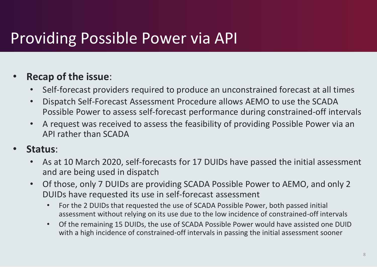### Providing Possible Power via API

#### • **Recap of the issue**:

- Self-forecast providers required to produce an unconstrained forecast at all times
- Dispatch Self-Forecast Assessment Procedure allows AEMO to use the SCADA Possible Power to assess self-forecast performance during constrained-off intervals
- A request was received to assess the feasibility of providing Possible Power via an API rather than SCADA
- **Status**:
	- As at 10 March 2020, self-forecasts for 17 DUIDs have passed the initial assessment and are being used in dispatch
	- Of those, only 7 DUIDs are providing SCADA Possible Power to AEMO, and only 2 DUIDs have requested its use in self-forecast assessment
		- For the 2 DUIDs that requested the use of SCADA Possible Power, both passed initial assessment without relying on its use due to the low incidence of constrained-off intervals
		- Of the remaining 15 DUIDs, the use of SCADA Possible Power would have assisted one DUID with a high incidence of constrained-off intervals in passing the initial assessment sooner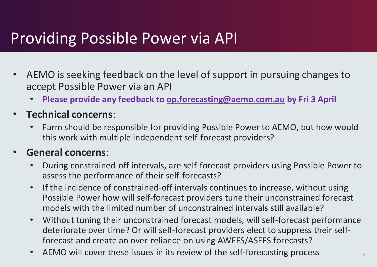### Providing Possible Power via API

- AEMO is seeking feedback on the level of support in pursuing changes to accept Possible Power via an API
	- **Please provide any feedback to [op.forecasting@aemo.com.au](mailto:op.forecasting@aemo.com.au) by Fri 3 April**
- **Technical concerns**:
	- Farm should be responsible for providing Possible Power to AEMO, but how would this work with multiple independent self-forecast providers?

#### • **General concerns**:

- During constrained-off intervals, are self-forecast providers using Possible Power to assess the performance of their self-forecasts?
- If the incidence of constrained-off intervals continues to increase, without using Possible Power how will self-forecast providers tune their unconstrained forecast models with the limited number of unconstrained intervals still available?
- Without tuning their unconstrained forecast models, will self-forecast performance deteriorate over time? Or will self-forecast providers elect to suppress their selfforecast and create an over-reliance on using AWEFS/ASEFS forecasts?
- AEMO will cover these issues in its review of the self-forecasting process  $\overline{9}$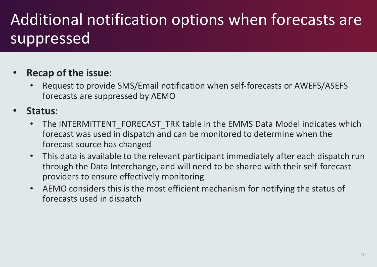# Additional notification options when forecasts are suppressed

#### • **Recap of the issue**:

• Request to provide SMS/Email notification when self-forecasts or AWEFS/ASEFS forecasts are suppressed by AEMO

#### • **Status**:

- The INTERMITTENT\_FORECAST\_TRK table in the EMMS Data Model indicates which forecast was used in dispatch and can be monitored to determine when the forecast source has changed
- This data is available to the relevant participant immediately after each dispatch run through the Data Interchange, and will need to be shared with their self-forecast providers to ensure effectively monitoring
- AEMO considers this is the most efficient mechanism for notifying the status of forecasts used in dispatch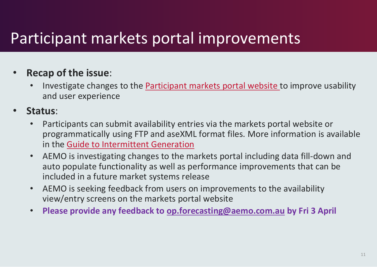### Participant markets portal improvements

#### • **Recap of the issue**:

- Investigate changes to the [Participant markets portal website](https://portal.prod.nemnet.net.au/) to improve usability and user experience
- **Status**:
	- Participants can submit availability entries via the markets portal website or programmatically using FTP and aseXML format files. More information is available in the [Guide to Intermittent Generation](https://aemo.com.au/-/media/files/electricity/nem/it-systems-and-change/guide-to-intermittent-generation.pdf?la=en&hash=B53DF9E3B3B974534DC531E3BCE3FB82)
	- AEMO is investigating changes to the markets portal including data fill-down and auto populate functionality as well as performance improvements that can be included in a future market systems release
	- AEMO is seeking feedback from users on improvements to the availability view/entry screens on the markets portal website
	- **Please provide any feedback to [op.forecasting@aemo.com.au](mailto:op.forecasting@aemo.com.au) by Fri 3 April**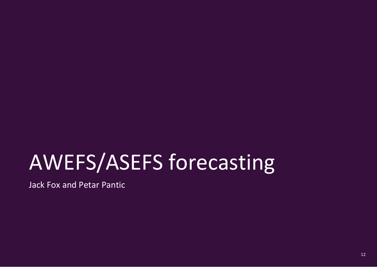# AWEFS/ASEFS forecasting

Jack Fox and Petar Pantic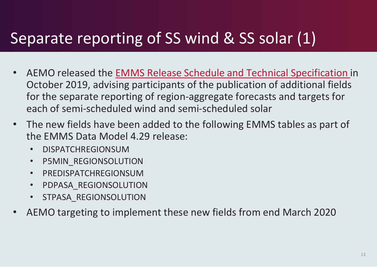### Separate reporting of SS wind & SS solar (1)

- AEMO released the [EMMS Release Schedule and Technical Specification](https://aemo.com.au/-/media/files/electricity/nem/it-systems-and-change/2019/emms---release-schedule-and-technical-specification---sra---october-2019.pdf?la=en) in October 2019, advising participants of the publication of additional fields for the separate reporting of region-aggregate forecasts and targets for each of semi-scheduled wind and semi-scheduled solar
- The new fields have been added to the following EMMS tables as part of the EMMS Data Model 4.29 release:
	- DISPATCHREGIONSUM
	- P5MIN\_REGIONSOLUTION
	- PREDISPATCHREGIONSUM
	- PDPASA\_REGIONSOLUTION
	- STPASA REGIONSOLUTION
- AEMO targeting to implement these new fields from end March 2020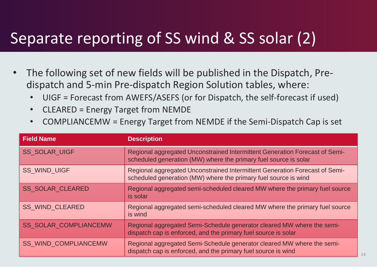### Separate reporting of SS wind & SS solar (2)

- The following set of new fields will be published in the Dispatch, Predispatch and 5-min Pre-dispatch Region Solution tables, where:
	- UIGF = Forecast from AWEFS/ASEFS (or for Dispatch, the self-forecast if used)
	- CLEARED = Energy Target from NEMDE
	- COMPLIANCEMW = Energy Target from NEMDE if the Semi-Dispatch Cap is set

| <b>Field Name</b>            | <b>Description</b>                                                                                                                              |
|------------------------------|-------------------------------------------------------------------------------------------------------------------------------------------------|
| <b>SS SOLAR UIGF</b>         | Regional aggregated Unconstrained Intermittent Generation Forecast of Semi-<br>scheduled generation (MW) where the primary fuel source is solar |
| <b>SS_WIND_UIGF</b>          | Regional aggregated Unconstrained Intermittent Generation Forecast of Semi-<br>scheduled generation (MW) where the primary fuel source is wind  |
| <b>SS SOLAR CLEARED</b>      | Regional aggregated semi-scheduled cleared MW where the primary fuel source<br>is solar                                                         |
| <b>SS_WIND_CLEARED</b>       | Regional aggregated semi-scheduled cleared MW where the primary fuel source<br>is wind                                                          |
| <b>SS_SOLAR_COMPLIANCEMW</b> | Regional aggregated Semi-Schedule generator cleared MW where the semi-<br>dispatch cap is enforced, and the primary fuel source is solar        |
| <b>SS WIND COMPLIANCEMW</b>  | Regional aggregated Semi-Schedule generator cleared MW where the semi-<br>dispatch cap is enforced, and the primary fuel source is wind         |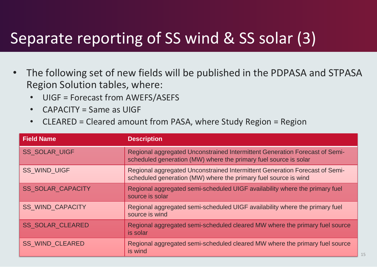### Separate reporting of SS wind & SS solar (3)

- The following set of new fields will be published in the PDPASA and STPASA Region Solution tables, where:
	- UIGF = Forecast from AWEFS/ASEFS
	- CAPACITY = Same as UIGF
	- CLEARED = Cleared amount from PASA, where Study Region = Region

| <b>Field Name</b>        | <b>Description</b>                                                                                                                              |
|--------------------------|-------------------------------------------------------------------------------------------------------------------------------------------------|
| <b>SS SOLAR UIGF</b>     | Regional aggregated Unconstrained Intermittent Generation Forecast of Semi-<br>scheduled generation (MW) where the primary fuel source is solar |
| <b>SS_WIND_UIGF</b>      | Regional aggregated Unconstrained Intermittent Generation Forecast of Semi-<br>scheduled generation (MW) where the primary fuel source is wind  |
| <b>SS SOLAR CAPACITY</b> | Regional aggregated semi-scheduled UIGF availability where the primary fuel<br>source is solar                                                  |
| <b>SS WIND CAPACITY</b>  | Regional aggregated semi-scheduled UIGF availability where the primary fuel<br>source is wind                                                   |
| <b>SS SOLAR CLEARED</b>  | Regional aggregated semi-scheduled cleared MW where the primary fuel source<br>is solar                                                         |
| <b>SS_WIND_CLEARED</b>   | Regional aggregated semi-scheduled cleared MW where the primary fuel source<br>is wind                                                          |

15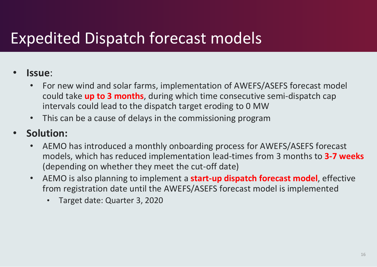### Expedited Dispatch forecast models

#### • **Issue**:

- For new wind and solar farms, implementation of AWEFS/ASEFS forecast model could take **up to 3 months**, during which time consecutive semi-dispatch cap intervals could lead to the dispatch target eroding to 0 MW
- This can be a cause of delays in the commissioning program

#### • **Solution:**

- AEMO has introduced a monthly onboarding process for AWEFS/ASEFS forecast models, which has reduced implementation lead-times from 3 months to **3-7 weeks**  (depending on whether they meet the cut-off date)
- AEMO is also planning to implement a **start-up dispatch forecast model**, effective from registration date until the AWEFS/ASEFS forecast model is implemented
	- Target date: Quarter 3, 2020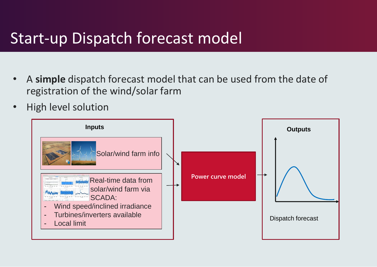#### Start-up Dispatch forecast model

- A **simple** dispatch forecast model that can be used from the date of registration of the wind/solar farm
- High level solution

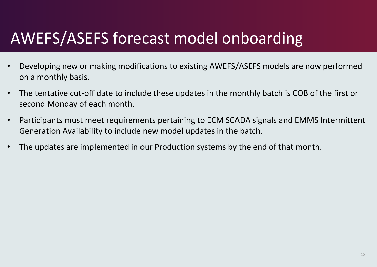## AWEFS/ASEFS forecast model onboarding

- Developing new or making modifications to existing AWEFS/ASEFS models are now performed on a monthly basis.
- The tentative cut-off date to include these updates in the monthly batch is COB of the first or second Monday of each month.
- Participants must meet requirements pertaining to ECM SCADA signals and EMMS Intermittent Generation Availability to include new model updates in the batch.
- The updates are implemented in our Production systems by the end of that month.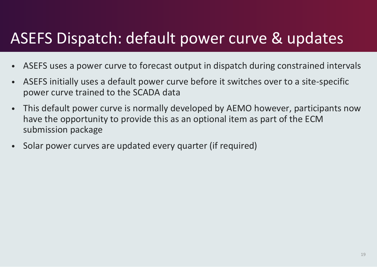### ASEFS Dispatch: default power curve & updates

- ASEFS uses a power curve to forecast output in dispatch during constrained intervals
- ASEFS initially uses a default power curve before it switches over to a site-specific power curve trained to the SCADA data
- This default power curve is normally developed by AEMO however, participants now have the opportunity to provide this as an optional item as part of the ECM submission package
- Solar power curves are updated every quarter (if required)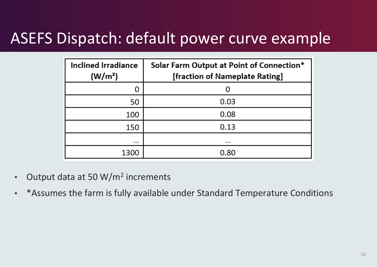#### ASEFS Dispatch: default power curve example

| <b>Inclined Irradiance</b><br>(W/m <sup>2</sup> ) | Solar Farm Output at Point of Connection*<br>[fraction of Nameplate Rating] |  |
|---------------------------------------------------|-----------------------------------------------------------------------------|--|
| 0                                                 |                                                                             |  |
| 50                                                | 0.03                                                                        |  |
| 100                                               | 0.08                                                                        |  |
| 150                                               | 0.13                                                                        |  |
| $\cdots$                                          |                                                                             |  |
| 1300                                              | 0.80                                                                        |  |

- Output data at 50 W/m<sup>2</sup> increments
- \*Assumes the farm is fully available under Standard Temperature Conditions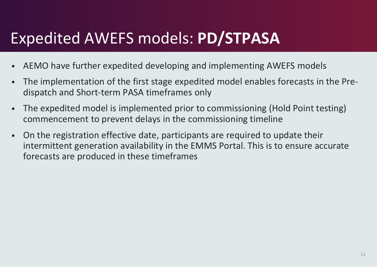### Expedited AWEFS models: **PD/STPASA**

- AEMO have further expedited developing and implementing AWEFS models
- The implementation of the first stage expedited model enables forecasts in the Predispatch and Short-term PASA timeframes only
- The expedited model is implemented prior to commissioning (Hold Point testing) commencement to prevent delays in the commissioning timeline
- On the registration effective date, participants are required to update their intermittent generation availability in the EMMS Portal. This is to ensure accurate forecasts are produced in these timeframes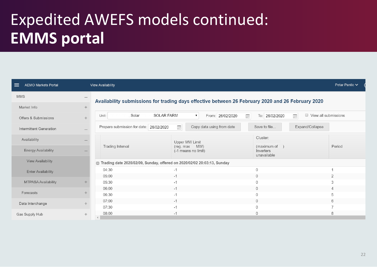# Expedited AWEFS models continued: **EMMS portal**

| ≡<br><b>AEMO Markets Portal</b> | <b>View Availability</b>                                                                          |                                                         | Petar Pantic V                                           |  |  |
|---------------------------------|---------------------------------------------------------------------------------------------------|---------------------------------------------------------|----------------------------------------------------------|--|--|
| <b>MMS</b>                      | Availability submissions for trading days effective between 26 February 2020 and 26 February 2020 |                                                         |                                                          |  |  |
| Market Info                     |                                                                                                   |                                                         |                                                          |  |  |
| Offers & Submissions            | <b>SOLAR FARM</b><br>Solar<br>Unit:                                                               | From: 26/02/2020<br>π<br>To: 26/02/2020<br>$\mathbf{v}$ | $\overline{\mathbb{H}^2}$<br>$\Box$ View all submissions |  |  |
| Intermittent Generation         | $\frac{1}{111}$<br>Prepare submission for date: 26/02/2020                                        | Copy data using from date<br>Save to file               | Expand/Collapse                                          |  |  |
| Availability                    | Upper MW Limit                                                                                    | Cluster:                                                |                                                          |  |  |
| <b>Energy Availability</b>      | Trading Interval<br>(reg. max<br>(-1 means no limit)                                              | MW)<br>(maximum of<br>Inverters<br>unavailable          | Period                                                   |  |  |
| <b>View Availability</b>        | Trading date 2020/02/09, Sunday, offered on 2020/02/02 20:03:13, Sunday                           |                                                         |                                                          |  |  |
| <b>Enter Availability</b>       | 04:30<br>$-1$                                                                                     | $\theta$                                                |                                                          |  |  |
|                                 | 05:00<br>$-1$                                                                                     | $\Omega$                                                | 2                                                        |  |  |
| MTPASA Availability             | 05:30<br>$-1$                                                                                     |                                                         | 3                                                        |  |  |
| Forecasts                       | 06:00<br>$-1$                                                                                     | $\mathbf 0$                                             |                                                          |  |  |
|                                 | 06:30<br>$-1$                                                                                     |                                                         |                                                          |  |  |
| Data Interchange<br>$\ddot{}$   | 07:00<br>$-1$                                                                                     | $\Omega$                                                | 6                                                        |  |  |
|                                 | 07:30<br>$-1$                                                                                     | $\Omega$                                                |                                                          |  |  |
| Gas Supply Hub                  | 08:00<br>$-1$                                                                                     | $\mathbf{0}$                                            | 8                                                        |  |  |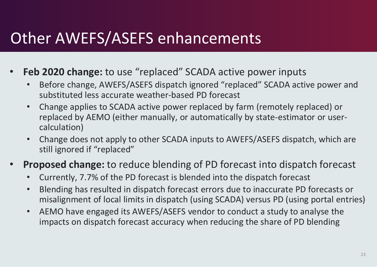### Other AWEFS/ASEFS enhancements

- **Feb 2020 change:** to use "replaced" SCADA active power inputs
	- Before change, AWEFS/ASEFS dispatch ignored "replaced" SCADA active power and substituted less accurate weather-based PD forecast
	- Change applies to SCADA active power replaced by farm (remotely replaced) or replaced by AEMO (either manually, or automatically by state-estimator or usercalculation)
	- Change does not apply to other SCADA inputs to AWEFS/ASEFS dispatch, which are still ignored if "replaced"
- **Proposed change:** to reduce blending of PD forecast into dispatch forecast
	- Currently, 7.7% of the PD forecast is blended into the dispatch forecast
	- Blending has resulted in dispatch forecast errors due to inaccurate PD forecasts or misalignment of local limits in dispatch (using SCADA) versus PD (using portal entries)
	- AEMO have engaged its AWEFS/ASEFS vendor to conduct a study to analyse the impacts on dispatch forecast accuracy when reducing the share of PD blending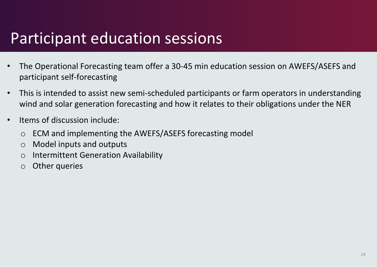### Participant education sessions

- The Operational Forecasting team offer a 30-45 min education session on AWEFS/ASEFS and participant self-forecasting
- This is intended to assist new semi-scheduled participants or farm operators in understanding wind and solar generation forecasting and how it relates to their obligations under the NER
- Items of discussion include:
	- o ECM and implementing the AWEFS/ASEFS forecasting model
	- o Model inputs and outputs
	- o Intermittent Generation Availability
	- o Other queries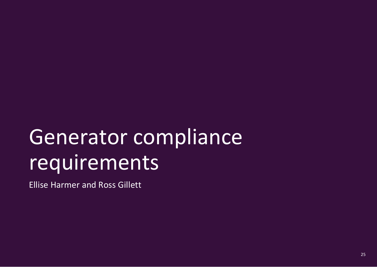# Generator compliance requirements

Ellise Harmer and Ross Gillett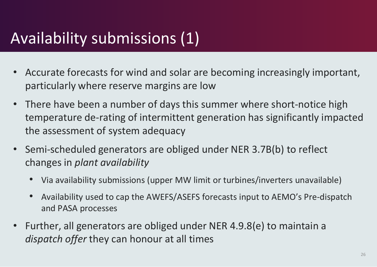## Availability submissions (1)

- Accurate forecasts for wind and solar are becoming increasingly important, particularly where reserve margins are low
- There have been a number of days this summer where short-notice high temperature de-rating of intermittent generation has significantly impacted the assessment of system adequacy
- Semi-scheduled generators are obliged under NER 3.7B(b) to reflect changes in *plant availability*
	- Via availability submissions (upper MW limit or turbines/inverters unavailable)
	- Availability used to cap the AWEFS/ASEFS forecasts input to AEMO's Pre-dispatch and PASA processes
- Further, all generators are obliged under NER 4.9.8(e) to maintain a *dispatch offer* they can honour at all times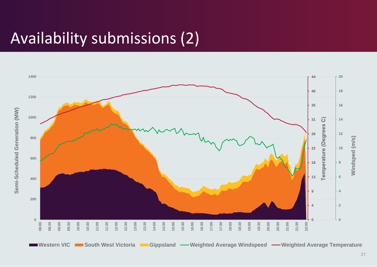### Availability submissions (2)

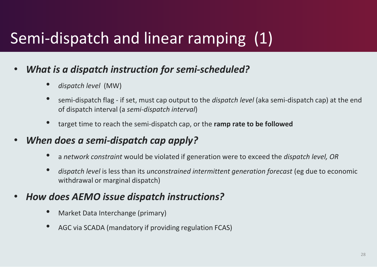# Semi-dispatch and linear ramping (1)

#### • *What is a dispatch instruction for semi-scheduled?*

- *dispatch level* (MW)
- semi-dispatch flag if set, must cap output to the *dispatch level* (aka semi-dispatch cap) at the end of dispatch interval (a *semi-dispatch interval*)
- target time to reach the semi-dispatch cap, or the **ramp rate to be followed**
- *When does a semi-dispatch cap apply?*
	- <sup>a</sup>*network constraint* would be violated if generation were to exceed the *dispatch level, OR*
	- *dispatch level* is less than its *unconstrained intermittent generation forecast* (eg due to economic withdrawal or marginal dispatch)

#### • *How does AEMO issue dispatch instructions?*

- Market Data Interchange (primary)
- AGC via SCADA (mandatory if providing regulation FCAS)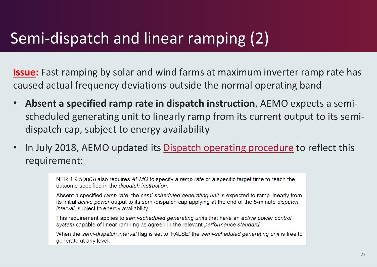## Semi-dispatch and linear ramping (2)

**Issue:** Fast ramping by solar and wind farms at maximum inverter ramp rate has caused actual frequency deviations outside the normal operating band

- **Absent a specified ramp rate in dispatch instruction**, AEMO expects a semischeduled generating unit to linearly ramp from its current output to its semidispatch cap, subject to energy availability
- In July 2018, AEMO updated its [Dispatch operating procedure](https://www.aemo.com.au/-/media/Files/Electricity/NEM/Security_and_Reliability/Power_System_Ops/Procedures/SO_OP_3705---Dispatch.pdf) to reflect this requirement:

NER 4.9.5(a)(3) also requires AEMO to specify a ramp rate or a specific target time to reach the outcome specified in the dispatch instruction.

Absent a specified ramp rate, the semi-scheduled generating unit is expected to ramp linearly from its initial active power output to its semi-dispatch cap applying at the end of the 5-minute dispatch interval, subject to energy availability.

This requirement applies to semi-scheduled generating units that have an active power control system capable of linear ramping as agreed in the relevant performance standard.

When the semi-dispatch interval flag is set to 'FALSE' the semi-scheduled generating unit is free to generate at any level.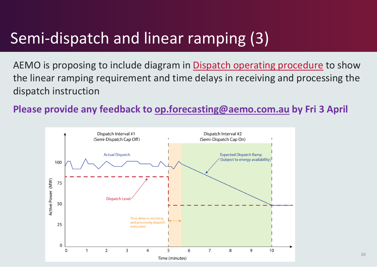## Semi-dispatch and linear ramping (3)

AEMO is proposing to include diagram in [Dispatch operating procedure](https://www.aemo.com.au/-/media/Files/Electricity/NEM/Security_and_Reliability/Power_System_Ops/Procedures/SO_OP_3705---Dispatch.pdf) to show the linear ramping requirement and time delays in receiving and processing the dispatch instruction

**Please provide any feedback to [op.forecasting@aemo.com.au](mailto:op.forecasting@aemo.com.au) by Fri 3 April**

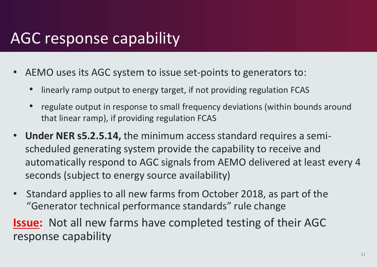### AGC response capability

- AEMO uses its AGC system to issue set-points to generators to:
	- linearly ramp output to energy target, if not providing regulation FCAS
	- regulate output in response to small frequency deviations (within bounds around that linear ramp), if providing regulation FCAS
- **Under NER s5.2.5.14,** the minimum access standard requires a semischeduled generating system provide the capability to receive and automatically respond to AGC signals from AEMO delivered at least every 4 seconds (subject to energy source availability)
- Standard applies to all new farms from October 2018, as part of the "Generator technical performance standards" rule change

**Issue:** Not all new farms have completed testing of their AGC response capability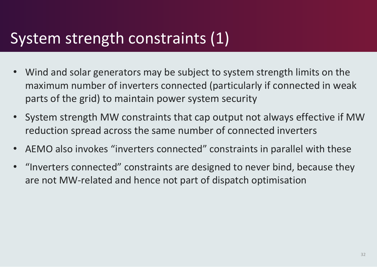### System strength constraints (1)

- Wind and solar generators may be subject to system strength limits on the maximum number of inverters connected (particularly if connected in weak parts of the grid) to maintain power system security
- System strength MW constraints that cap output not always effective if MW reduction spread across the same number of connected inverters
- AEMO also invokes "inverters connected" constraints in parallel with these
- "Inverters connected" constraints are designed to never bind, because they are not MW-related and hence not part of dispatch optimisation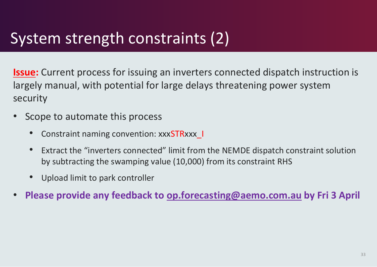### System strength constraints (2)

**Issue:** Current process for issuing an inverters connected dispatch instruction is largely manual, with potential for large delays threatening power system security

- Scope to automate this process
	- Constraint naming convention: xxxSTRxxx |
	- Extract the "inverters connected" limit from the NEMDE dispatch constraint solution by subtracting the swamping value (10,000) from its constraint RHS
	- Upload limit to park controller
- **Please provide any feedback to [op.forecasting@aemo.com.au](mailto:op.forecasting@aemo.com.au) by Fri 3 April**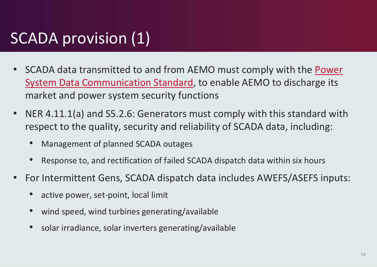## SCADA provision (1)

- SCADA data transmitted to and from AEMO must comply with the Power [System Data Communication Standard, to enable AEMO to discharge its](https://www.aemo.com.au/-/media/files/electricity/nem/network_connections/transmission-and-distribution/aemo-standard-for-power-system-data-communications.pdf)  market and power system security functions
- NER 4.11.1(a) and S5.2.6: Generators must comply with this standard with respect to the quality, security and reliability of SCADA data, including:
	- Management of planned SCADA outages
	- Response to, and rectification of failed SCADA dispatch data within six hours
- For Intermittent Gens, SCADA dispatch data includes AWEFS/ASEFS inputs:
	- active power, set-point, local limit
	- wind speed, wind turbines generating/available
	- solar irradiance, solar inverters generating/available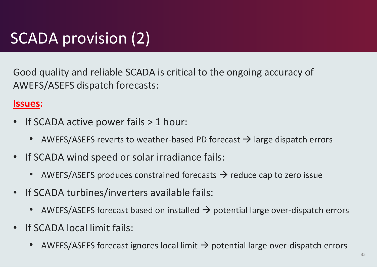# SCADA provision (2)

Good quality and reliable SCADA is critical to the ongoing accuracy of AWEFS/ASEFS dispatch forecasts:

#### **Issues:**

- If SCADA active power fails > 1 hour:
	- AWEFS/ASEFS reverts to weather-based PD forecast  $\rightarrow$  large dispatch errors
- If SCADA wind speed or solar irradiance fails:
	- AWEFS/ASEFS produces constrained forecasts  $\rightarrow$  reduce cap to zero issue
- If SCADA turbines/inverters available fails:
	- AWEFS/ASEFS forecast based on installed  $\rightarrow$  potential large over-dispatch errors
- If SCADA local limit fails:
	- AWEFS/ASEFS forecast ignores local limit  $\rightarrow$  potential large over-dispatch errors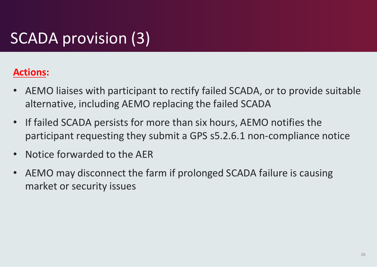# SCADA provision (3)

#### **Actions:**

- AEMO liaises with participant to rectify failed SCADA, or to provide suitable alternative, including AEMO replacing the failed SCADA
- If failed SCADA persists for more than six hours, AEMO notifies the participant requesting they submit a GPS s5.2.6.1 non-compliance notice
- Notice forwarded to the AER
- AEMO may disconnect the farm if prolonged SCADA failure is causing market or security issues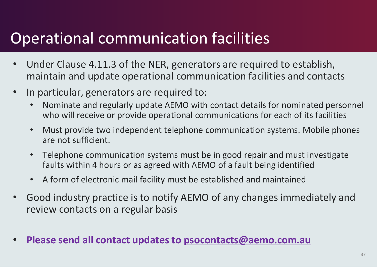### Operational communication facilities

- Under Clause 4.11.3 of the NER, generators are required to establish, maintain and update operational communication facilities and contacts
- In particular, generators are required to:
	- Nominate and regularly update AEMO with contact details for nominated personnel who will receive or provide operational communications for each of its facilities
	- Must provide two independent telephone communication systems. Mobile phones are not sufficient.
	- Telephone communication systems must be in good repair and must investigate faults within 4 hours or as agreed with AEMO of a fault being identified
	- A form of electronic mail facility must be established and maintained
- Good industry practice is to notify AEMO of any changes immediately and review contacts on a regular basis
- **Please send all contact updates to psocontacts[@aemo.com.au](mailto:op.forecasting@aemo.com.au)**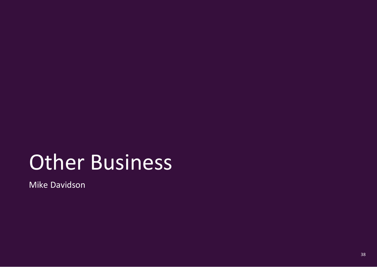# Other Business

Mike Davidson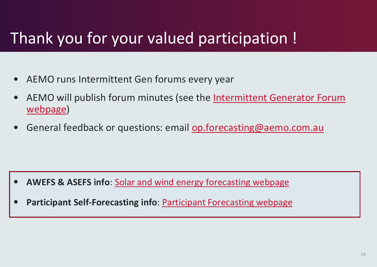## Thank you for your valued participation !

- AEMO runs Intermittent Gen forums every year
- [AEMO will publish forum minutes \(see the Intermittent Generator Forum](https://www.aemo.com.au/Stakeholder-Consultation/Industry-forums-and-working-groups/Other-meetings/Intermittent-Generator-Forum)  webpage)
- General feedback or questions: email [op.forecasting@aemo.com.au](mailto:op.forecasting@aemo.com.au)

- **AWEFS & ASEFS info**: [Solar and wind energy forecasting webpage](http://www.aemo.com.au/Electricity/National-Electricity-Market-NEM/Planning-and-forecasting/Solar-and-wind-energy-forecasting)
- **Participant Self-Forecasting info**: [Participant Forecasting webpage](http://www.aemo.com.au/Electricity/National-Electricity-Market-NEM/Planning-and-forecasting/Solar-and-wind-energy-forecasting/Participant-forecasting)